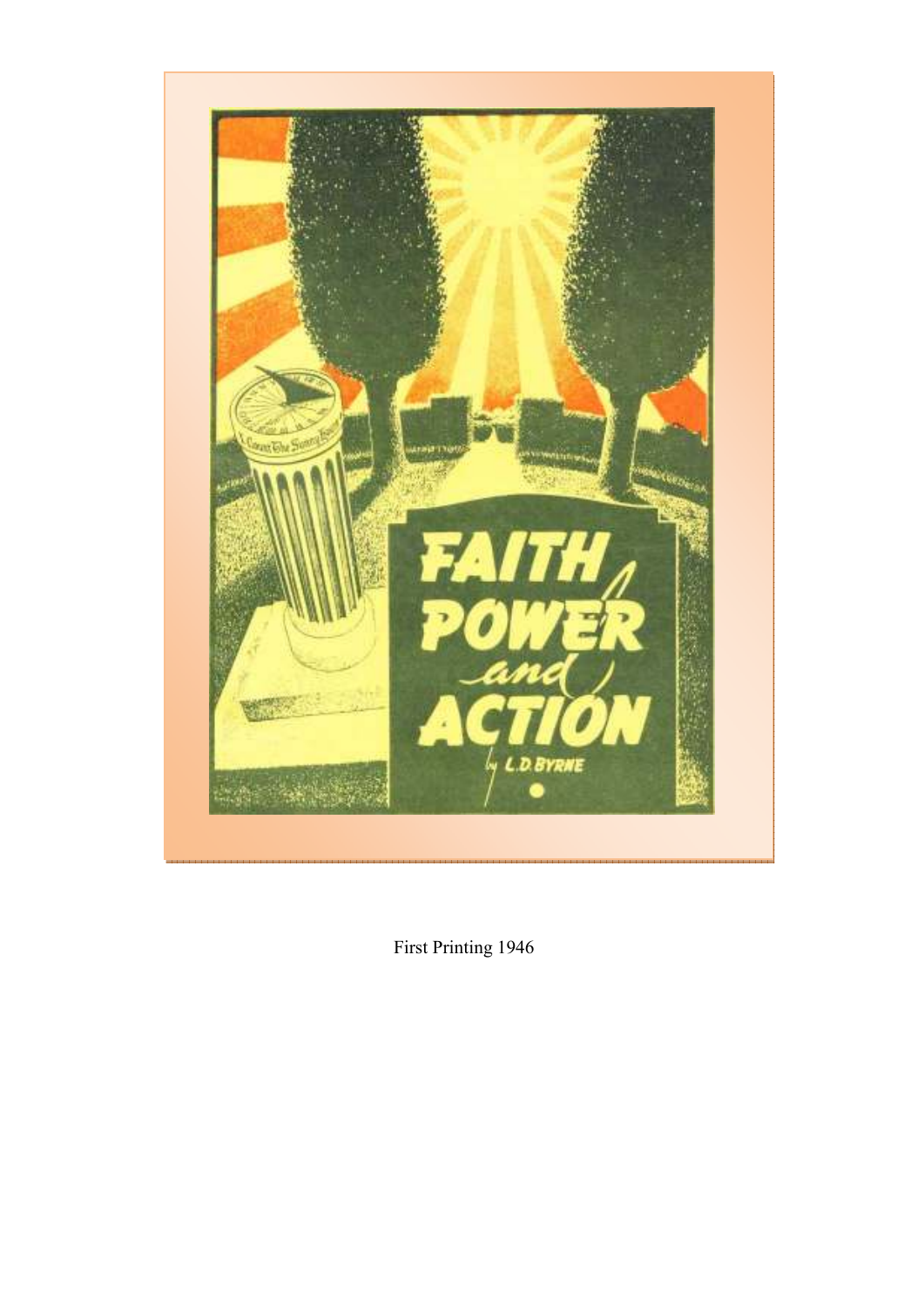

First Printing 1946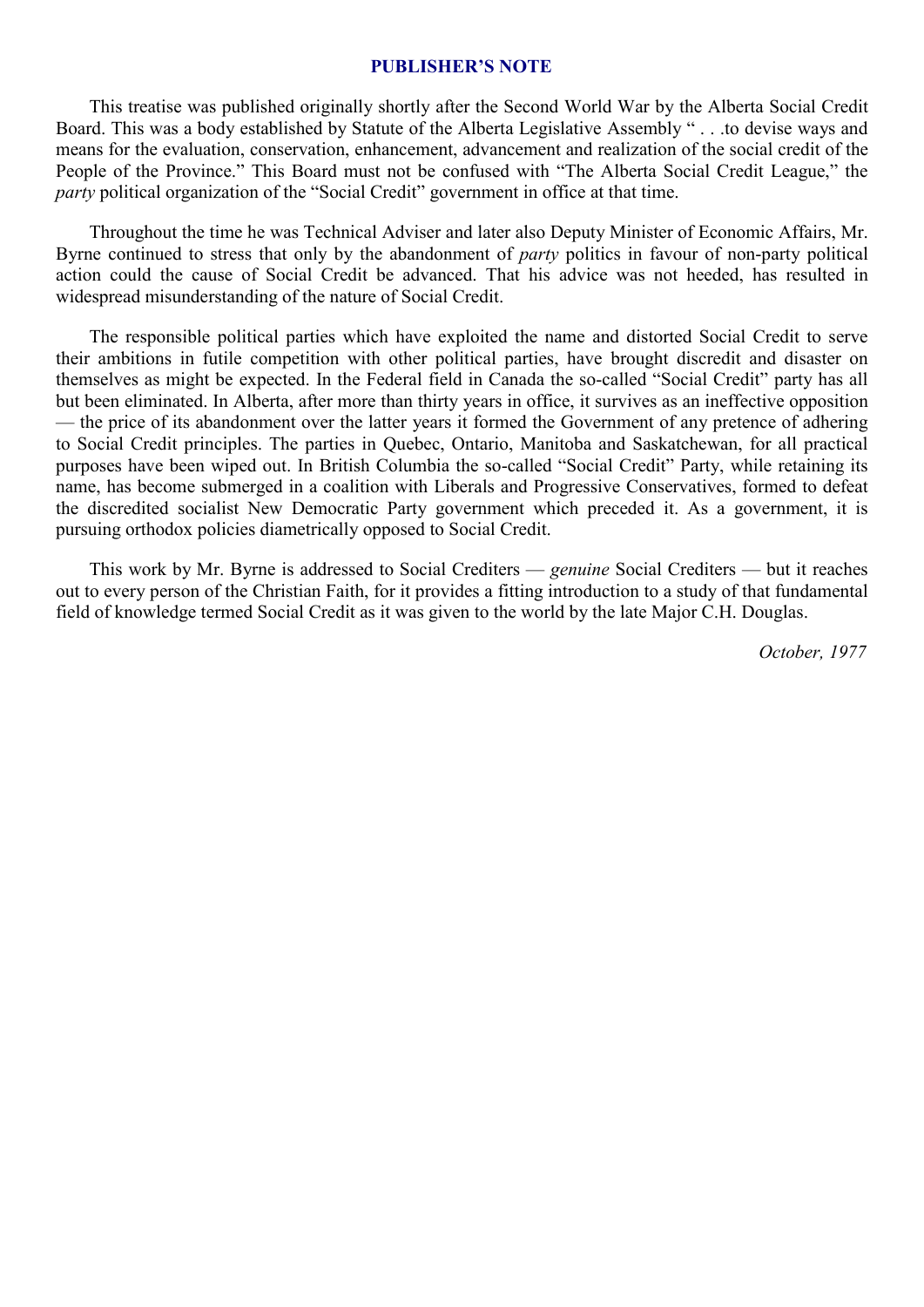#### **PUBLISHER'S NOTE**

This treatise was published originally shortly after the Second World War by the Alberta Social Credit Board. This was a body established by Statute of the Alberta Legislative Assembly " . . .to devise ways and means for the evaluation, conservation, enhancement, advancement and realization of the social credit of the People of the Province." This Board must not be confused with "The Alberta Social Credit League," the *party* political organization of the "Social Credit" government in office at that time.

Throughout the time he was Technical Adviser and later also Deputy Minister of Economic Affairs, Mr. Byrne continued to stress that only by the abandonment of *party* politics in favour of non-party political action could the cause of Social Credit be advanced. That his advice was not heeded, has resulted in widespread misunderstanding of the nature of Social Credit.

The responsible political parties which have exploited the name and distorted Social Credit to serve their ambitions in futile competition with other political parties, have brought discredit and disaster on themselves as might be expected. In the Federal field in Canada the so-called "Social Credit" party has all but been eliminated. In Alberta, after more than thirty years in office, it survives as an ineffective opposition — the price of its abandonment over the latter years it formed the Government of any pretence of adhering to Social Credit principles. The parties in Quebec, Ontario, Manitoba and Saskatchewan, for all practical purposes have been wiped out. In British Columbia the so-called "Social Credit" Party, while retaining its name, has become submerged in a coalition with Liberals and Progressive Conservatives, formed to defeat the discredited socialist New Democratic Party government which preceded it. As a government, it is pursuing orthodox policies diametrically opposed to Social Credit.

This work by Mr. Byrne is addressed to Social Crediters — *genuine* Social Crediters — but it reaches out to every person of the Christian Faith, for it provides a fitting introduction to a study of that fundamental field of knowledge termed Social Credit as it was given to the world by the late Major C.H. Douglas.

*October, 1977*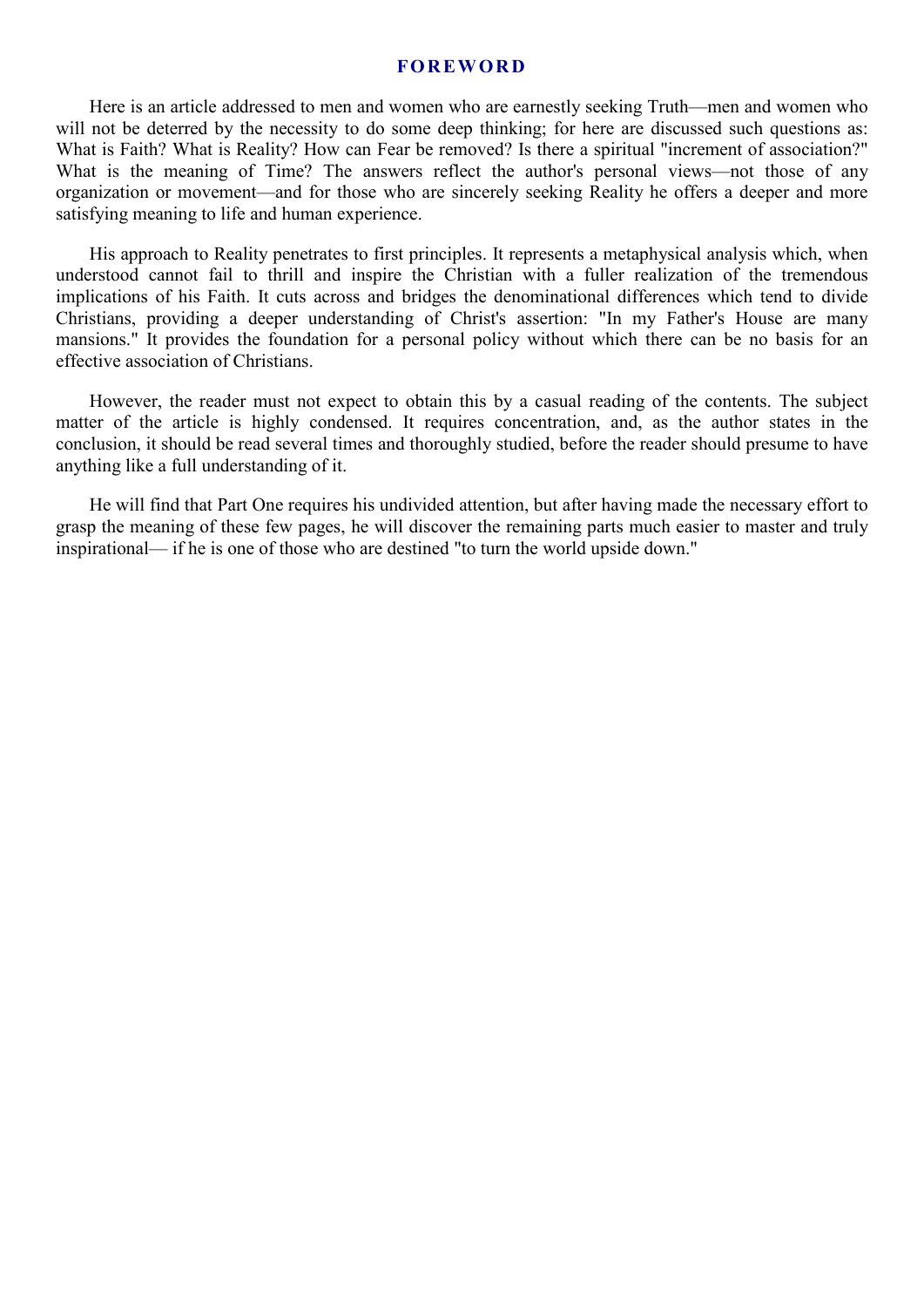#### **FO R EW OR D**

Here is an article addressed to men and women who are earnestly seeking Truth—men and women who will not be deterred by the necessity to do some deep thinking; for here are discussed such questions as: What is Faith? What is Reality? How can Fear be removed? Is there a spiritual "increment of association?" What is the meaning of Time? The answers reflect the author's personal views—not those of any organization or movement—and for those who are sincerely seeking Reality he offers a deeper and more satisfying meaning to life and human experience.

His approach to Reality penetrates to first principles. It represents a metaphysical analysis which, when understood cannot fail to thrill and inspire the Christian with a fuller realization of the tremendous implications of his Faith. It cuts across and bridges the denominational differences which tend to divide Christians, providing a deeper understanding of Christ's assertion: "In my Father's House are many mansions." It provides the foundation for a personal policy without which there can be no basis for an effective association of Christians.

However, the reader must not expect to obtain this by a casual reading of the contents. The subject matter of the article is highly condensed. It requires concentration, and, as the author states in the conclusion, it should be read several times and thoroughly studied, before the reader should presume to have anything like a full understanding of it.

He will find that Part One requires his undivided attention, but after having made the necessary effort to grasp the meaning of these few pages, he will discover the remaining parts much easier to master and truly inspirational— if he is one of those who are destined "to turn the world upside down."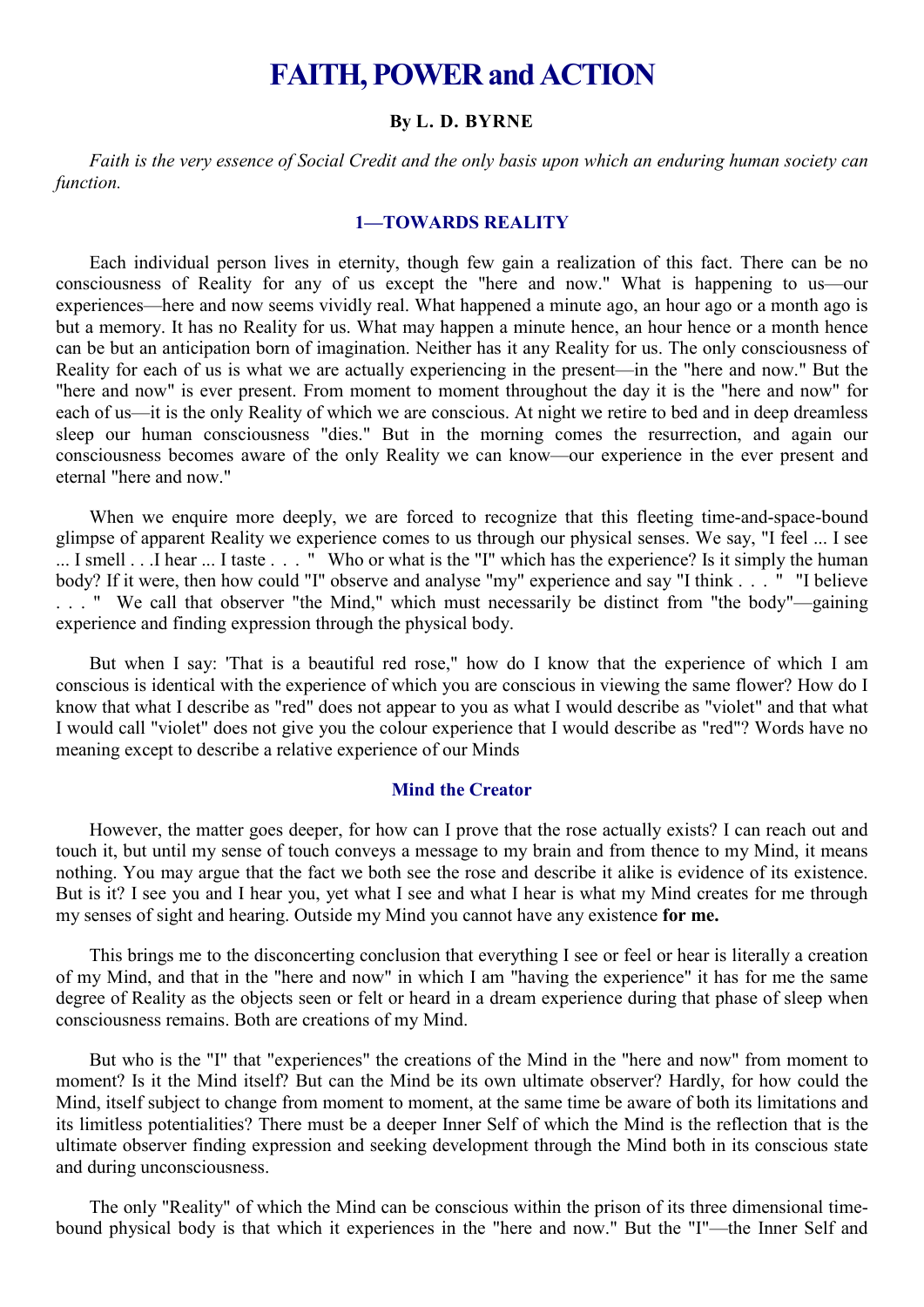# **FAITH, POWER and ACTION**

#### **By L. D. BYRNE**

*Faith is the very essence of Social Credit and the only basis upon which an enduring human society can function.* 

## **1—TOWARDS REALITY**

Each individual person lives in eternity, though few gain a realization of this fact. There can be no consciousness of Reality for any of us except the "here and now." What is happening to us—our experiences—here and now seems vividly real. What happened a minute ago, an hour ago or a month ago is but a memory. It has no Reality for us. What may happen a minute hence, an hour hence or a month hence can be but an anticipation born of imagination. Neither has it any Reality for us. The only consciousness of Reality for each of us is what we are actually experiencing in the present—in the "here and now." But the "here and now" is ever present. From moment to moment throughout the day it is the "here and now" for each of us—it is the only Reality of which we are conscious. At night we retire to bed and in deep dreamless sleep our human consciousness "dies." But in the morning comes the resurrection, and again our consciousness becomes aware of the only Reality we can know—our experience in the ever present and eternal "here and now."

When we enquire more deeply, we are forced to recognize that this fleeting time-and-space-bound glimpse of apparent Reality we experience comes to us through our physical senses. We say, "I feel ... I see ... I smell . . .I hear ... I taste . . . " Who or what is the "I" which has the experience? Is it simply the human body? If it were, then how could "I" observe and analyse "my" experience and say "I think . . . " "I believe . . . " We call that observer "the Mind," which must necessarily be distinct from "the body"—gaining experience and finding expression through the physical body.

But when I say: 'That is a beautiful red rose," how do I know that the experience of which I am conscious is identical with the experience of which you are conscious in viewing the same flower? How do I know that what I describe as "red" does not appear to you as what I would describe as "violet" and that what I would call "violet" does not give you the colour experience that I would describe as "red"? Words have no meaning except to describe a relative experience of our Minds

## **Mind the Creator**

However, the matter goes deeper, for how can I prove that the rose actually exists? I can reach out and touch it, but until my sense of touch conveys a message to my brain and from thence to my Mind, it means nothing. You may argue that the fact we both see the rose and describe it alike is evidence of its existence. But is it? I see you and I hear you, yet what I see and what I hear is what my Mind creates for me through my senses of sight and hearing. Outside my Mind you cannot have any existence **for me.**

This brings me to the disconcerting conclusion that everything I see or feel or hear is literally a creation of my Mind, and that in the "here and now" in which I am "having the experience" it has for me the same degree of Reality as the objects seen or felt or heard in a dream experience during that phase of sleep when consciousness remains. Both are creations of my Mind.

But who is the "I" that "experiences" the creations of the Mind in the "here and now" from moment to moment? Is it the Mind itself? But can the Mind be its own ultimate observer? Hardly, for how could the Mind, itself subject to change from moment to moment, at the same time be aware of both its limitations and its limitless potentialities? There must be a deeper Inner Self of which the Mind is the reflection that is the ultimate observer finding expression and seeking development through the Mind both in its conscious state and during unconsciousness.

The only "Reality" of which the Mind can be conscious within the prison of its three dimensional timebound physical body is that which it experiences in the "here and now." But the "I"—the Inner Self and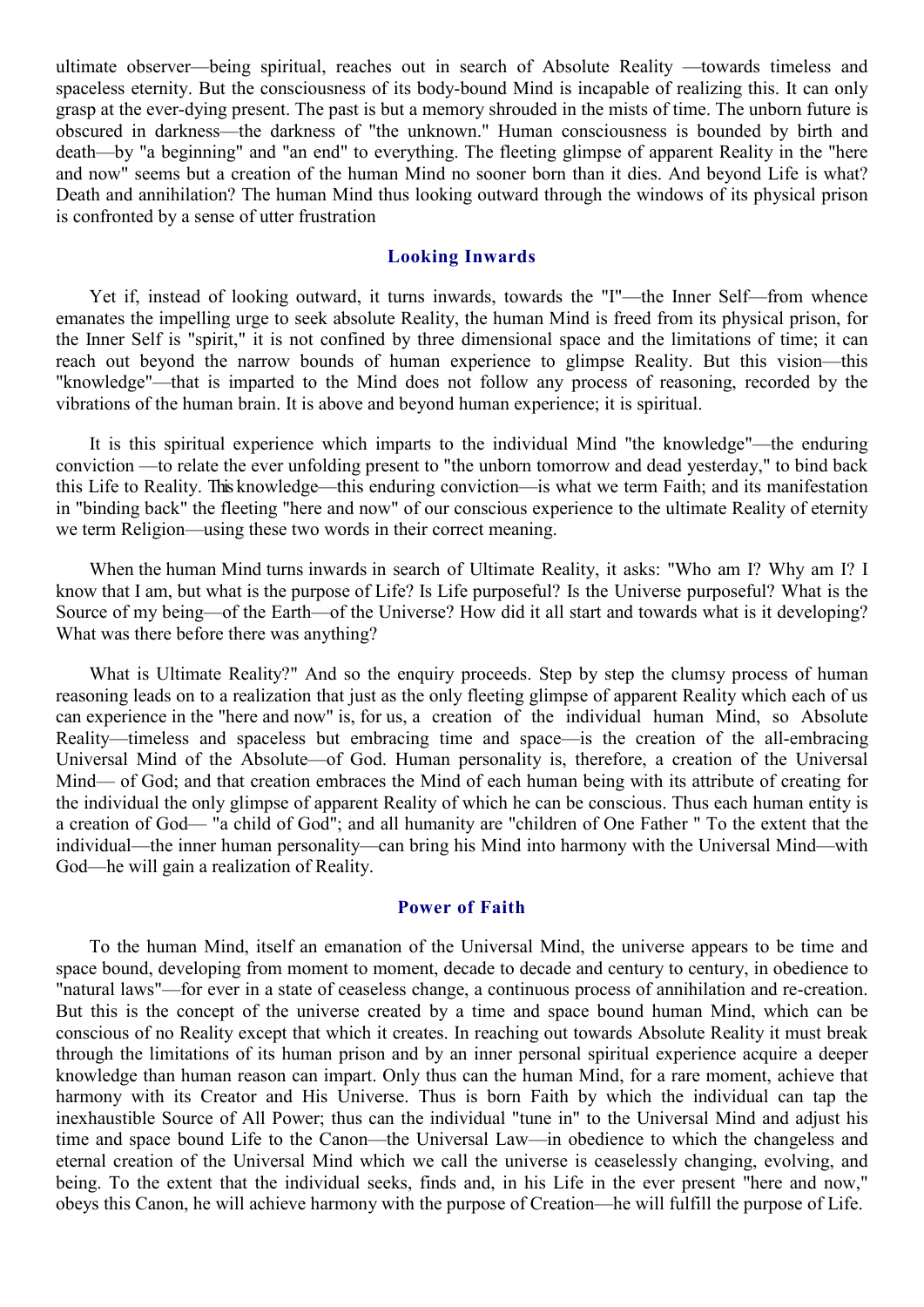ultimate observer—being spiritual, reaches out in search of Absolute Reality —towards timeless and spaceless eternity. But the consciousness of its body-bound Mind is incapable of realizing this. It can only grasp at the ever-dying present. The past is but a memory shrouded in the mists of time. The unborn future is obscured in darkness—the darkness of "the unknown." Human consciousness is bounded by birth and death—by "a beginning" and "an end" to everything. The fleeting glimpse of apparent Reality in the "here and now" seems but a creation of the human Mind no sooner born than it dies. And beyond Life is what? Death and annihilation? The human Mind thus looking outward through the windows of its physical prison is confronted by a sense of utter frustration

## **Looking Inwards**

Yet if, instead of looking outward, it turns inwards, towards the "I"—the Inner Self—from whence emanates the impelling urge to seek absolute Reality, the human Mind is freed from its physical prison, for the Inner Self is "spirit," it is not confined by three dimensional space and the limitations of time; it can reach out beyond the narrow bounds of human experience to glimpse Reality. But this vision—this "knowledge"—that is imparted to the Mind does not follow any process of reasoning, recorded by the vibrations of the human brain. It is above and beyond human experience; it is spiritual.

It is this spiritual experience which imparts to the individual Mind "the knowledge"—the enduring conviction —to relate the ever unfolding present to "the unborn tomorrow and dead yesterday," to bind back this Life to Reality. This knowledge—this enduring conviction—is what we term Faith; and its manifestation in "binding back" the fleeting "here and now" of our conscious experience to the ultimate Reality of eternity we term Religion—using these two words in their correct meaning.

When the human Mind turns inwards in search of Ultimate Reality, it asks: "Who am I? Why am I? I know that I am, but what is the purpose of Life? Is Life purposeful? Is the Universe purposeful? What is the Source of my being—of the Earth—of the Universe? How did it all start and towards what is it developing? What was there before there was anything?

What is Ultimate Reality?" And so the enquiry proceeds. Step by step the clumsy process of human reasoning leads on to a realization that just as the only fleeting glimpse of apparent Reality which each of us can experience in the "here and now" is, for us, a creation of the individual human Mind, so Absolute Reality—timeless and spaceless but embracing time and space—is the creation of the all-embracing Universal Mind of the Absolute—of God. Human personality is, therefore, a creation of the Universal Mind— of God; and that creation embraces the Mind of each human being with its attribute of creating for the individual the only glimpse of apparent Reality of which he can be conscious. Thus each human entity is a creation of God— "a child of God"; and all humanity are "children of One Father " To the extent that the individual—the inner human personality—can bring his Mind into harmony with the Universal Mind—with God—he will gain a realization of Reality.

# **Power of Faith**

To the human Mind, itself an emanation of the Universal Mind, the universe appears to be time and space bound, developing from moment to moment, decade to decade and century to century, in obedience to "natural laws"—for ever in a state of ceaseless change, a continuous process of annihilation and re-creation. But this is the concept of the universe created by a time and space bound human Mind, which can be conscious of no Reality except that which it creates. In reaching out towards Absolute Reality it must break through the limitations of its human prison and by an inner personal spiritual experience acquire a deeper knowledge than human reason can impart. Only thus can the human Mind, for a rare moment, achieve that harmony with its Creator and His Universe. Thus is born Faith by which the individual can tap the inexhaustible Source of All Power; thus can the individual "tune in" to the Universal Mind and adjust his time and space bound Life to the Canon—the Universal Law—in obedience to which the changeless and eternal creation of the Universal Mind which we call the universe is ceaselessly changing, evolving, and being. To the extent that the individual seeks, finds and, in his Life in the ever present "here and now," obeys this Canon, he will achieve harmony with the purpose of Creation—he will fulfill the purpose of Life.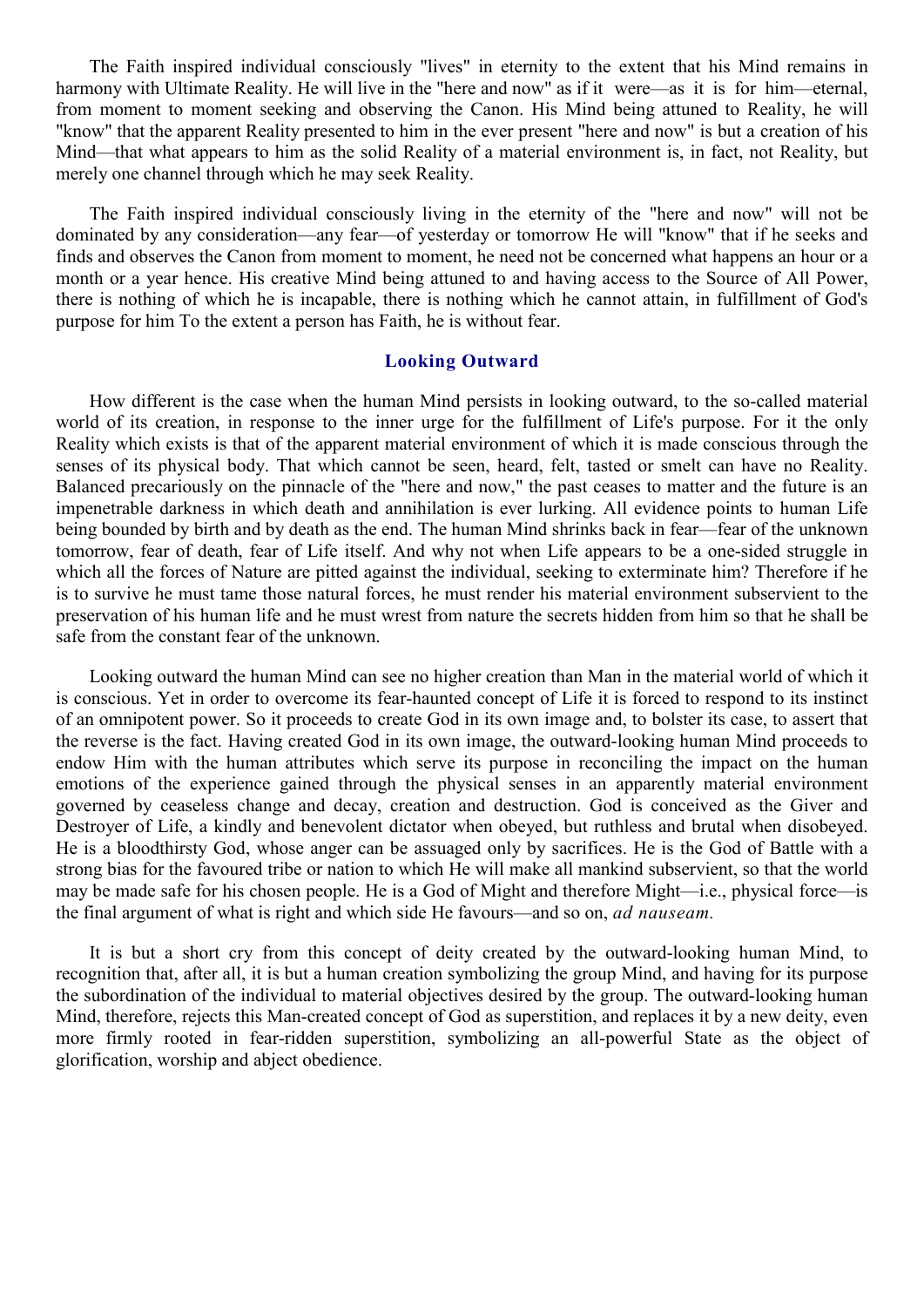The Faith inspired individual consciously "lives" in eternity to the extent that his Mind remains in harmony with Ultimate Reality. He will live in the "here and now" as if it were—as it is for him—eternal, from moment to moment seeking and observing the Canon. His Mind being attuned to Reality, he will "know" that the apparent Reality presented to him in the ever present "here and now" is but a creation of his Mind—that what appears to him as the solid Reality of a material environment is, in fact, not Reality, but merely one channel through which he may seek Reality.

The Faith inspired individual consciously living in the eternity of the "here and now" will not be dominated by any consideration—any fear—of yesterday or tomorrow He will "know" that if he seeks and finds and observes the Canon from moment to moment, he need not be concerned what happens an hour or a month or a year hence. His creative Mind being attuned to and having access to the Source of All Power, there is nothing of which he is incapable, there is nothing which he cannot attain, in fulfillment of God's purpose for him To the extent a person has Faith, he is without fear.

#### **Looking Outward**

How different is the case when the human Mind persists in looking outward, to the so-called material world of its creation, in response to the inner urge for the fulfillment of Life's purpose. For it the only Reality which exists is that of the apparent material environment of which it is made conscious through the senses of its physical body. That which cannot be seen, heard, felt, tasted or smelt can have no Reality. Balanced precariously on the pinnacle of the "here and now," the past ceases to matter and the future is an impenetrable darkness in which death and annihilation is ever lurking. All evidence points to human Life being bounded by birth and by death as the end. The human Mind shrinks back in fear—fear of the unknown tomorrow, fear of death, fear of Life itself. And why not when Life appears to be a one-sided struggle in which all the forces of Nature are pitted against the individual, seeking to exterminate him? Therefore if he is to survive he must tame those natural forces, he must render his material environment subservient to the preservation of his human life and he must wrest from nature the secrets hidden from him so that he shall be safe from the constant fear of the unknown.

Looking outward the human Mind can see no higher creation than Man in the material world of which it is conscious. Yet in order to overcome its fear-haunted concept of Life it is forced to respond to its instinct of an omnipotent power. So it proceeds to create God in its own image and, to bolster its case, to assert that the reverse is the fact. Having created God in its own image, the outward-looking human Mind proceeds to endow Him with the human attributes which serve its purpose in reconciling the impact on the human emotions of the experience gained through the physical senses in an apparently material environment governed by ceaseless change and decay, creation and destruction. God is conceived as the Giver and Destroyer of Life, a kindly and benevolent dictator when obeyed, but ruthless and brutal when disobeyed. He is a bloodthirsty God, whose anger can be assuaged only by sacrifices. He is the God of Battle with a strong bias for the favoured tribe or nation to which He will make all mankind subservient, so that the world may be made safe for his chosen people. He is a God of Might and therefore Might—i.e., physical force—is the final argument of what is right and which side He favours—and so on, *ad nauseam.*

It is but a short cry from this concept of deity created by the outward-looking human Mind, to recognition that, after all, it is but a human creation symbolizing the group Mind, and having for its purpose the subordination of the individual to material objectives desired by the group. The outward-looking human Mind, therefore, rejects this Man-created concept of God as superstition, and replaces it by a new deity, even more firmly rooted in fear-ridden superstition, symbolizing an all-powerful State as the object of glorification, worship and abject obedience.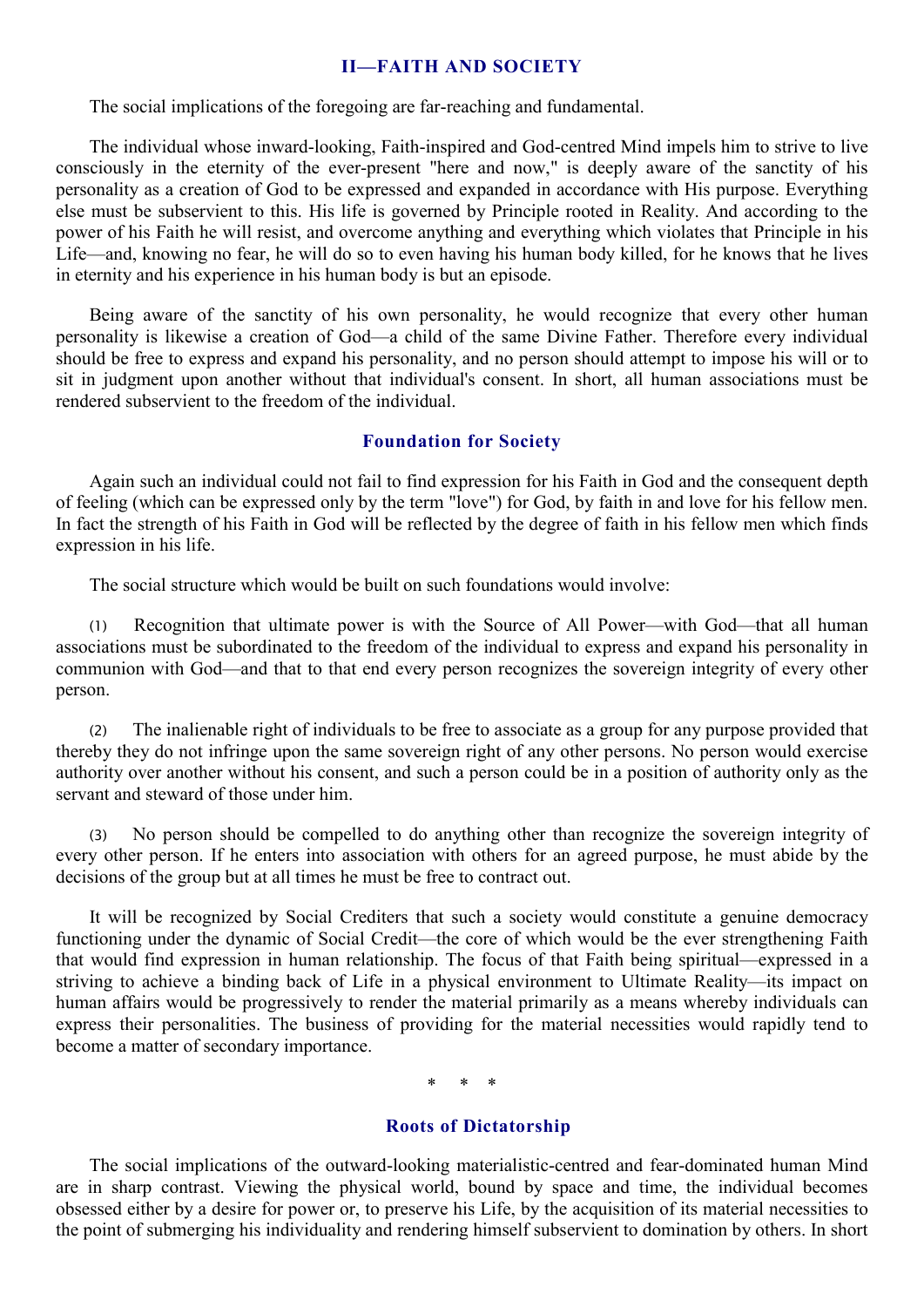# **II—FAITH AND SOCIETY**

The social implications of the foregoing are far-reaching and fundamental.

The individual whose inward-looking, Faith-inspired and God-centred Mind impels him to strive to live consciously in the eternity of the ever-present "here and now," is deeply aware of the sanctity of his personality as a creation of God to be expressed and expanded in accordance with His purpose. Everything else must be subservient to this. His life is governed by Principle rooted in Reality. And according to the power of his Faith he will resist, and overcome anything and everything which violates that Principle in his Life—and, knowing no fear, he will do so to even having his human body killed, for he knows that he lives in eternity and his experience in his human body is but an episode.

Being aware of the sanctity of his own personality, he would recognize that every other human personality is likewise a creation of God—a child of the same Divine Father. Therefore every individual should be free to express and expand his personality, and no person should attempt to impose his will or to sit in judgment upon another without that individual's consent. In short, all human associations must be rendered subservient to the freedom of the individual.

# **Foundation for Society**

Again such an individual could not fail to find expression for his Faith in God and the consequent depth of feeling (which can be expressed only by the term "love") for God, by faith in and love for his fellow men. In fact the strength of his Faith in God will be reflected by the degree of faith in his fellow men which finds expression in his life.

The social structure which would be built on such foundations would involve:

(1) Recognition that ultimate power is with the Source of All Power—with God—that all human associations must be subordinated to the freedom of the individual to express and expand his personality in communion with God—and that to that end every person recognizes the sovereign integrity of every other person.

(2) The inalienable right of individuals to be free to associate as a group for any purpose provided that thereby they do not infringe upon the same sovereign right of any other persons. No person would exercise authority over another without his consent, and such a person could be in a position of authority only as the servant and steward of those under him.

(3) No person should be compelled to do anything other than recognize the sovereign integrity of every other person. If he enters into association with others for an agreed purpose, he must abide by the decisions of the group but at all times he must be free to contract out.

It will be recognized by Social Crediters that such a society would constitute a genuine democracy functioning under the dynamic of Social Credit—the core of which would be the ever strengthening Faith that would find expression in human relationship. The focus of that Faith being spiritual—expressed in a striving to achieve a binding back of Life in a physical environment to Ultimate Reality—its impact on human affairs would be progressively to render the material primarily as a means whereby individuals can express their personalities. The business of providing for the material necessities would rapidly tend to become a matter of secondary importance.

\* \* \*

# **Roots of Dictatorship**

The social implications of the outward-looking materialistic-centred and fear-dominated human Mind are in sharp contrast. Viewing the physical world, bound by space and time, the individual becomes obsessed either by a desire for power or, to preserve his Life, by the acquisition of its material necessities to the point of submerging his individuality and rendering himself subservient to domination by others. In short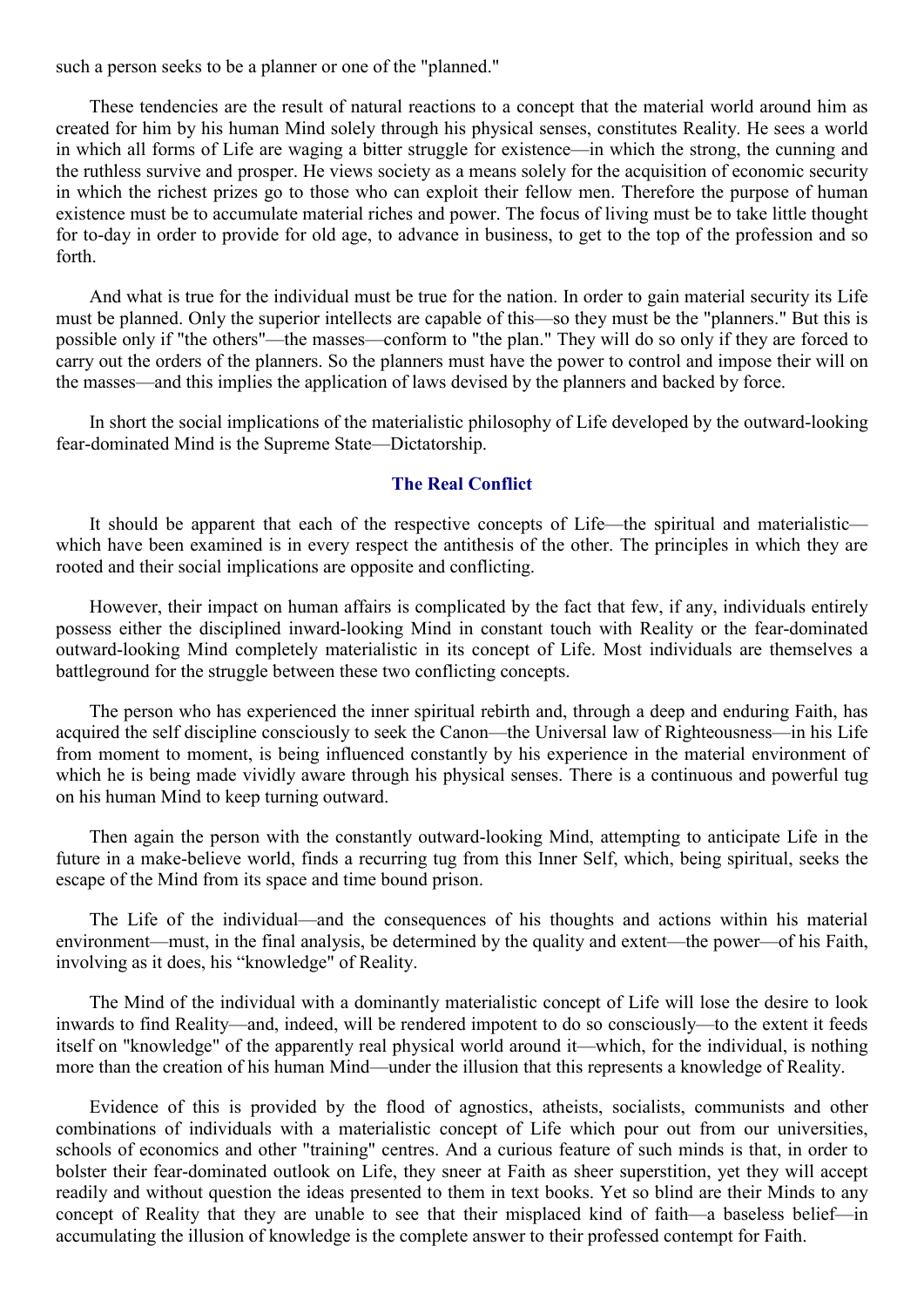such a person seeks to be a planner or one of the "planned."

These tendencies are the result of natural reactions to a concept that the material world around him as created for him by his human Mind solely through his physical senses, constitutes Reality. He sees a world in which all forms of Life are waging a bitter struggle for existence—in which the strong, the cunning and the ruthless survive and prosper. He views society as a means solely for the acquisition of economic security in which the richest prizes go to those who can exploit their fellow men. Therefore the purpose of human existence must be to accumulate material riches and power. The focus of living must be to take little thought for to-day in order to provide for old age, to advance in business, to get to the top of the profession and so forth.

And what is true for the individual must be true for the nation. In order to gain material security its Life must be planned. Only the superior intellects are capable of this—so they must be the "planners." But this is possible only if "the others"—the masses—conform to "the plan." They will do so only if they are forced to carry out the orders of the planners. So the planners must have the power to control and impose their will on the masses—and this implies the application of laws devised by the planners and backed by force.

In short the social implications of the materialistic philosophy of Life developed by the outward-looking fear-dominated Mind is the Supreme State—Dictatorship.

## **The Real Conflict**

It should be apparent that each of the respective concepts of Life—the spiritual and materialistic which have been examined is in every respect the antithesis of the other. The principles in which they are rooted and their social implications are opposite and conflicting.

However, their impact on human affairs is complicated by the fact that few, if any, individuals entirely possess either the disciplined inward-looking Mind in constant touch with Reality or the fear-dominated outward-looking Mind completely materialistic in its concept of Life. Most individuals are themselves a battleground for the struggle between these two conflicting concepts.

The person who has experienced the inner spiritual rebirth and, through a deep and enduring Faith, has acquired the self discipline consciously to seek the Canon—the Universal law of Righteousness—in his Life from moment to moment, is being influenced constantly by his experience in the material environment of which he is being made vividly aware through his physical senses. There is a continuous and powerful tug on his human Mind to keep turning outward.

Then again the person with the constantly outward-looking Mind, attempting to anticipate Life in the future in a make-believe world, finds a recurring tug from this Inner Self, which, being spiritual, seeks the escape of the Mind from its space and time bound prison.

The Life of the individual—and the consequences of his thoughts and actions within his material environment—must, in the final analysis, be determined by the quality and extent—the power—of his Faith, involving as it does, his "knowledge" of Reality.

The Mind of the individual with a dominantly materialistic concept of Life will lose the desire to look inwards to find Reality—and, indeed, will be rendered impotent to do so consciously—to the extent it feeds itself on "knowledge" of the apparently real physical world around it—which, for the individual, is nothing more than the creation of his human Mind—under the illusion that this represents a knowledge of Reality.

Evidence of this is provided by the flood of agnostics, atheists, socialists, communists and other combinations of individuals with a materialistic concept of Life which pour out from our universities, schools of economics and other "training" centres. And a curious feature of such minds is that, in order to bolster their fear-dominated outlook on Life, they sneer at Faith as sheer superstition, yet they will accept readily and without question the ideas presented to them in text books. Yet so blind are their Minds to any concept of Reality that they are unable to see that their misplaced kind of faith—a baseless belief—in accumulating the illusion of knowledge is the complete answer to their professed contempt for Faith.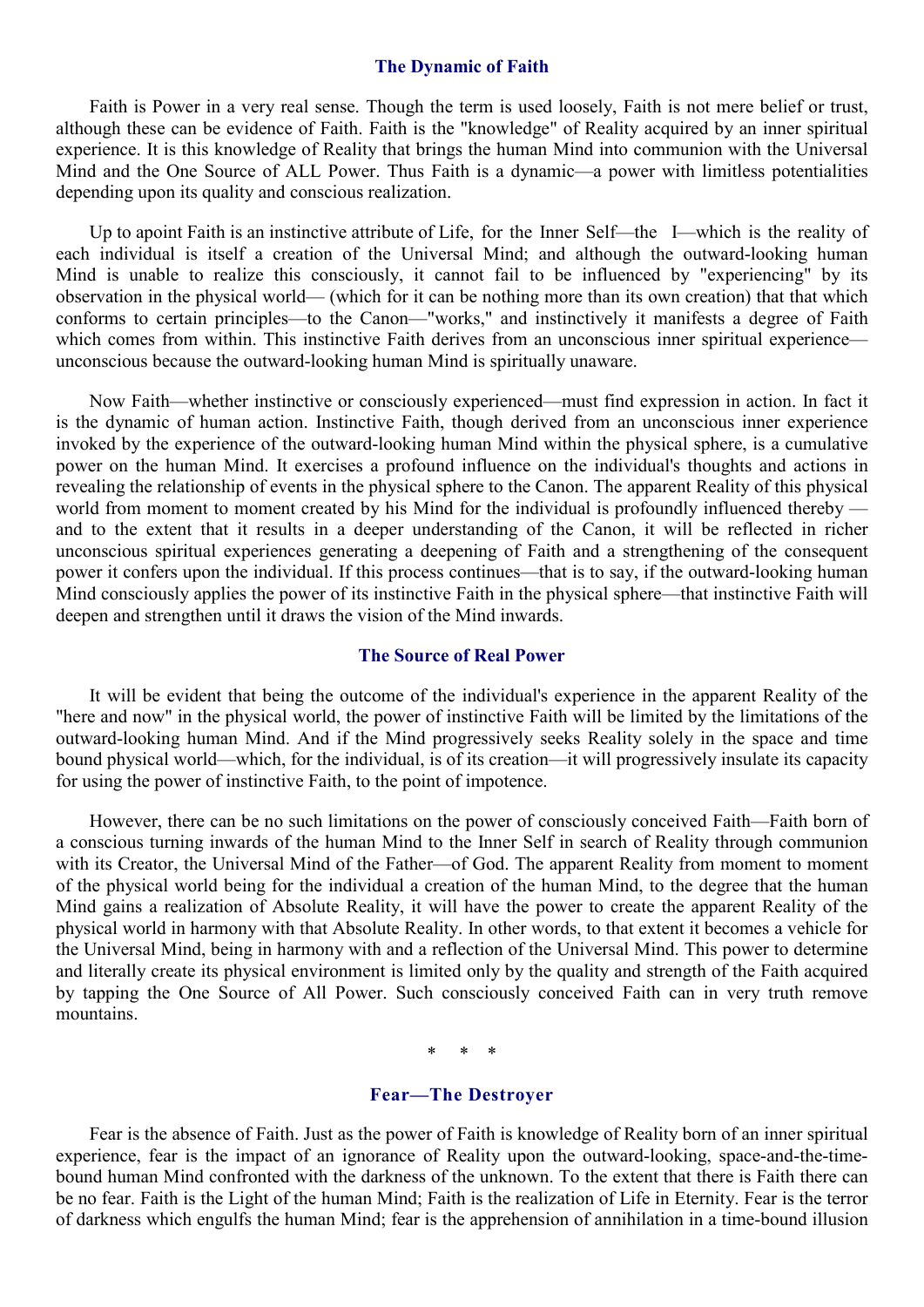#### **The Dynamic of Faith**

Faith is Power in a very real sense. Though the term is used loosely, Faith is not mere belief or trust, although these can be evidence of Faith. Faith is the "knowledge" of Reality acquired by an inner spiritual experience. It is this knowledge of Reality that brings the human Mind into communion with the Universal Mind and the One Source of ALL Power. Thus Faith is a dynamic—a power with limitless potentialities depending upon its quality and conscious realization.

Up to apoint Faith is an instinctive attribute of Life, for the Inner Self—the I—which is the reality of each individual is itself a creation of the Universal Mind; and although the outward-looking human Mind is unable to realize this consciously, it cannot fail to be influenced by "experiencing" by its observation in the physical world— (which for it can be nothing more than its own creation) that that which conforms to certain principles—to the Canon—"works," and instinctively it manifests a degree of Faith which comes from within. This instinctive Faith derives from an unconscious inner spiritual experience unconscious because the outward-looking human Mind is spiritually unaware.

Now Faith—whether instinctive or consciously experienced—must find expression in action. In fact it is the dynamic of human action. Instinctive Faith, though derived from an unconscious inner experience invoked by the experience of the outward-looking human Mind within the physical sphere, is a cumulative power on the human Mind. It exercises a profound influence on the individual's thoughts and actions in revealing the relationship of events in the physical sphere to the Canon. The apparent Reality of this physical world from moment to moment created by his Mind for the individual is profoundly influenced thereby and to the extent that it results in a deeper understanding of the Canon, it will be reflected in richer unconscious spiritual experiences generating a deepening of Faith and a strengthening of the consequent power it confers upon the individual. If this process continues—that is to say, if the outward-looking human Mind consciously applies the power of its instinctive Faith in the physical sphere—that instinctive Faith will deepen and strengthen until it draws the vision of the Mind inwards.

# **The Source of Real Power**

It will be evident that being the outcome of the individual's experience in the apparent Reality of the "here and now" in the physical world, the power of instinctive Faith will be limited by the limitations of the outward-looking human Mind. And if the Mind progressively seeks Reality solely in the space and time bound physical world—which, for the individual, is of its creation—it will progressively insulate its capacity for using the power of instinctive Faith, to the point of impotence.

However, there can be no such limitations on the power of consciously conceived Faith—Faith born of a conscious turning inwards of the human Mind to the Inner Self in search of Reality through communion with its Creator, the Universal Mind of the Father—of God. The apparent Reality from moment to moment of the physical world being for the individual a creation of the human Mind, to the degree that the human Mind gains a realization of Absolute Reality, it will have the power to create the apparent Reality of the physical world in harmony with that Absolute Reality. In other words, to that extent it becomes a vehicle for the Universal Mind, being in harmony with and a reflection of the Universal Mind. This power to determine and literally create its physical environment is limited only by the quality and strength of the Faith acquired by tapping the One Source of All Power. Such consciously conceived Faith can in very truth remove mountains.

\* \* \*

## **Fear—The Destroyer**

Fear is the absence of Faith. Just as the power of Faith is knowledge of Reality born of an inner spiritual experience, fear is the impact of an ignorance of Reality upon the outward-looking, space-and-the-timebound human Mind confronted with the darkness of the unknown. To the extent that there is Faith there can be no fear. Faith is the Light of the human Mind; Faith is the realization of Life in Eternity. Fear is the terror of darkness which engulfs the human Mind; fear is the apprehension of annihilation in a time-bound illusion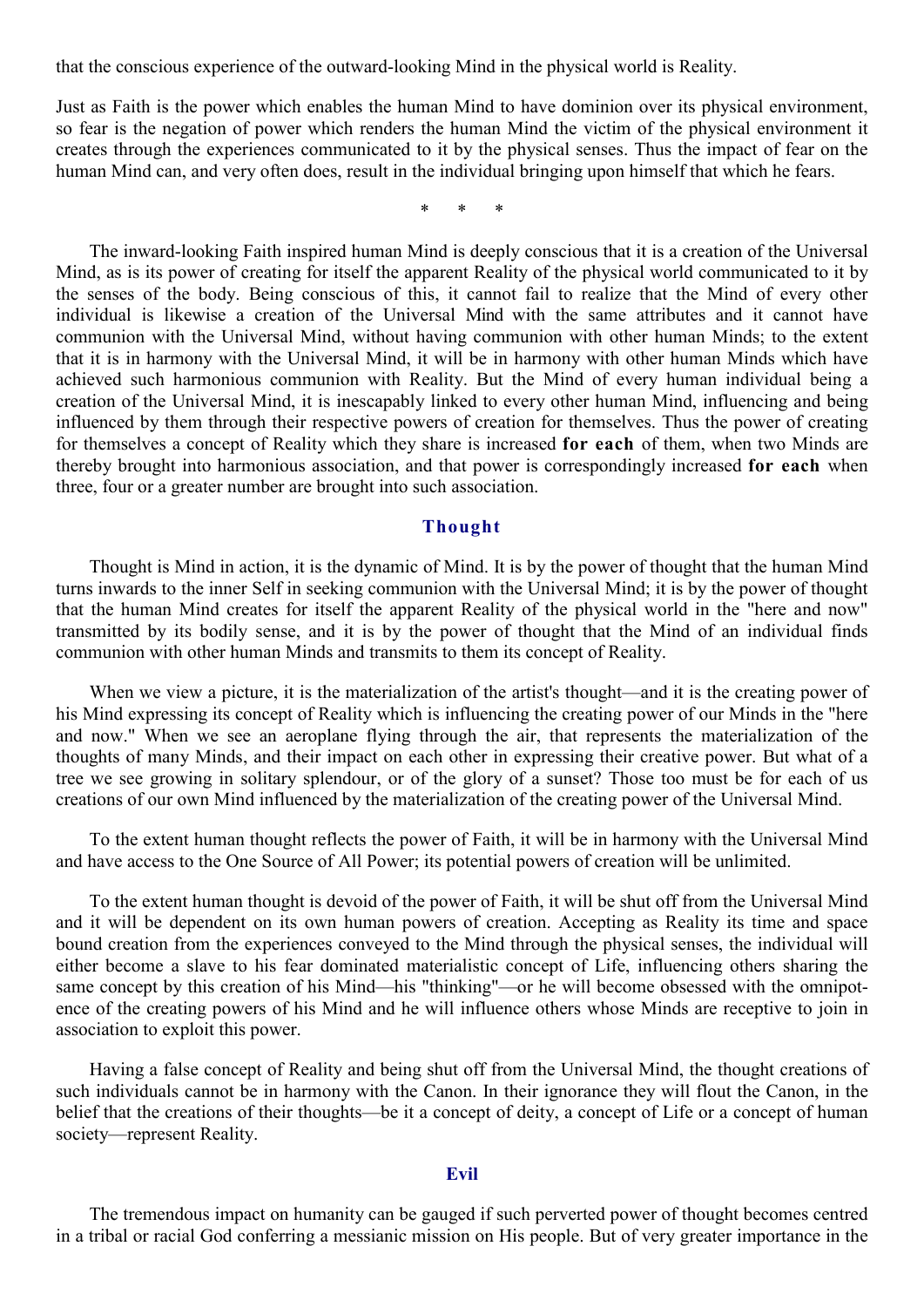that the conscious experience of the outward-looking Mind in the physical world is Reality.

Just as Faith is the power which enables the human Mind to have dominion over its physical environment, so fear is the negation of power which renders the human Mind the victim of the physical environment it creates through the experiences communicated to it by the physical senses. Thus the impact of fear on the human Mind can, and very often does, result in the individual bringing upon himself that which he fears.

\* \* \*

The inward-looking Faith inspired human Mind is deeply conscious that it is a creation of the Universal Mind, as is its power of creating for itself the apparent Reality of the physical world communicated to it by the senses of the body. Being conscious of this, it cannot fail to realize that the Mind of every other individual is likewise a creation of the Universal Mind with the same attributes and it cannot have communion with the Universal Mind, without having communion with other human Minds; to the extent that it is in harmony with the Universal Mind, it will be in harmony with other human Minds which have achieved such harmonious communion with Reality. But the Mind of every human individual being a creation of the Universal Mind, it is inescapably linked to every other human Mind, influencing and being influenced by them through their respective powers of creation for themselves. Thus the power of creating for themselves a concept of Reality which they share is increased **for each** of them, when two Minds are thereby brought into harmonious association, and that power is correspondingly increased **for each** when three, four or a greater number are brought into such association.

## **Thought**

Thought is Mind in action, it is the dynamic of Mind. It is by the power of thought that the human Mind turns inwards to the inner Self in seeking communion with the Universal Mind; it is by the power of thought that the human Mind creates for itself the apparent Reality of the physical world in the "here and now" transmitted by its bodily sense, and it is by the power of thought that the Mind of an individual finds communion with other human Minds and transmits to them its concept of Reality.

When we view a picture, it is the materialization of the artist's thought—and it is the creating power of his Mind expressing its concept of Reality which is influencing the creating power of our Minds in the "here and now." When we see an aeroplane flying through the air, that represents the materialization of the thoughts of many Minds, and their impact on each other in expressing their creative power. But what of a tree we see growing in solitary splendour, or of the glory of a sunset? Those too must be for each of us creations of our own Mind influenced by the materialization of the creating power of the Universal Mind.

To the extent human thought reflects the power of Faith, it will be in harmony with the Universal Mind and have access to the One Source of All Power; its potential powers of creation will be unlimited.

To the extent human thought is devoid of the power of Faith, it will be shut off from the Universal Mind and it will be dependent on its own human powers of creation. Accepting as Reality its time and space bound creation from the experiences conveyed to the Mind through the physical senses, the individual will either become a slave to his fear dominated materialistic concept of Life, influencing others sharing the same concept by this creation of his Mind—his "thinking"—or he will become obsessed with the omnipotence of the creating powers of his Mind and he will influence others whose Minds are receptive to join in association to exploit this power.

Having a false concept of Reality and being shut off from the Universal Mind, the thought creations of such individuals cannot be in harmony with the Canon. In their ignorance they will flout the Canon, in the belief that the creations of their thoughts—be it a concept of deity, a concept of Life or a concept of human society—represent Reality.

## **Evil**

The tremendous impact on humanity can be gauged if such perverted power of thought becomes centred in a tribal or racial God conferring a messianic mission on His people. But of very greater importance in the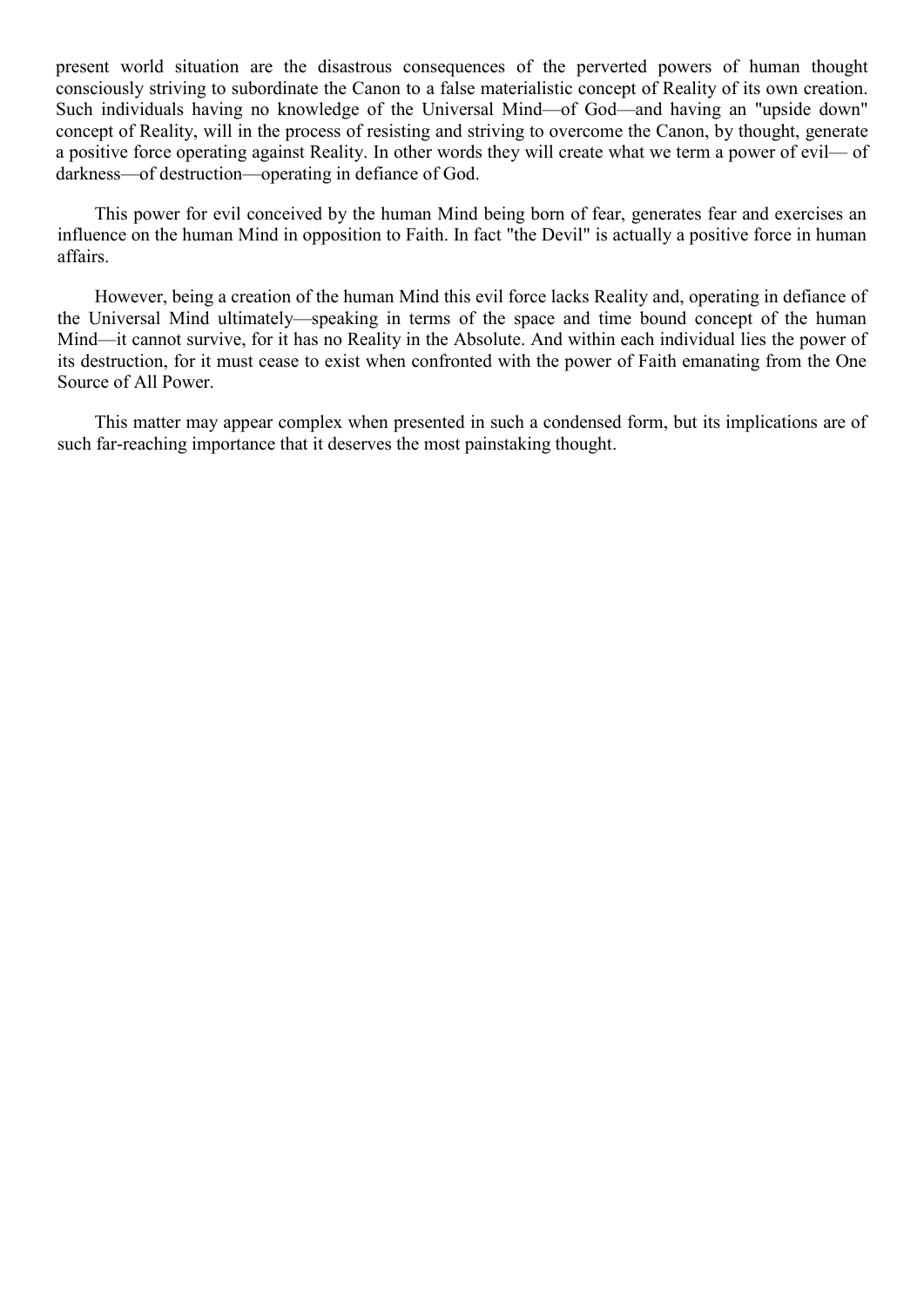present world situation are the disastrous consequences of the perverted powers of human thought consciously striving to subordinate the Canon to a false materialistic concept of Reality of its own creation. Such individuals having no knowledge of the Universal Mind—of God—and having an "upside down" concept of Reality, will in the process of resisting and striving to overcome the Canon, by thought, generate a positive force operating against Reality. In other words they will create what we term a power of evil— of darkness—of destruction—operating in defiance of God.

This power for evil conceived by the human Mind being born of fear, generates fear and exercises an influence on the human Mind in opposition to Faith. In fact "the Devil" is actually a positive force in human affairs.

However, being a creation of the human Mind this evil force lacks Reality and, operating in defiance of the Universal Mind ultimately—speaking in terms of the space and time bound concept of the human Mind—it cannot survive, for it has no Reality in the Absolute. And within each individual lies the power of its destruction, for it must cease to exist when confronted with the power of Faith emanating from the One Source of All Power.

This matter may appear complex when presented in such a condensed form, but its implications are of such far-reaching importance that it deserves the most painstaking thought.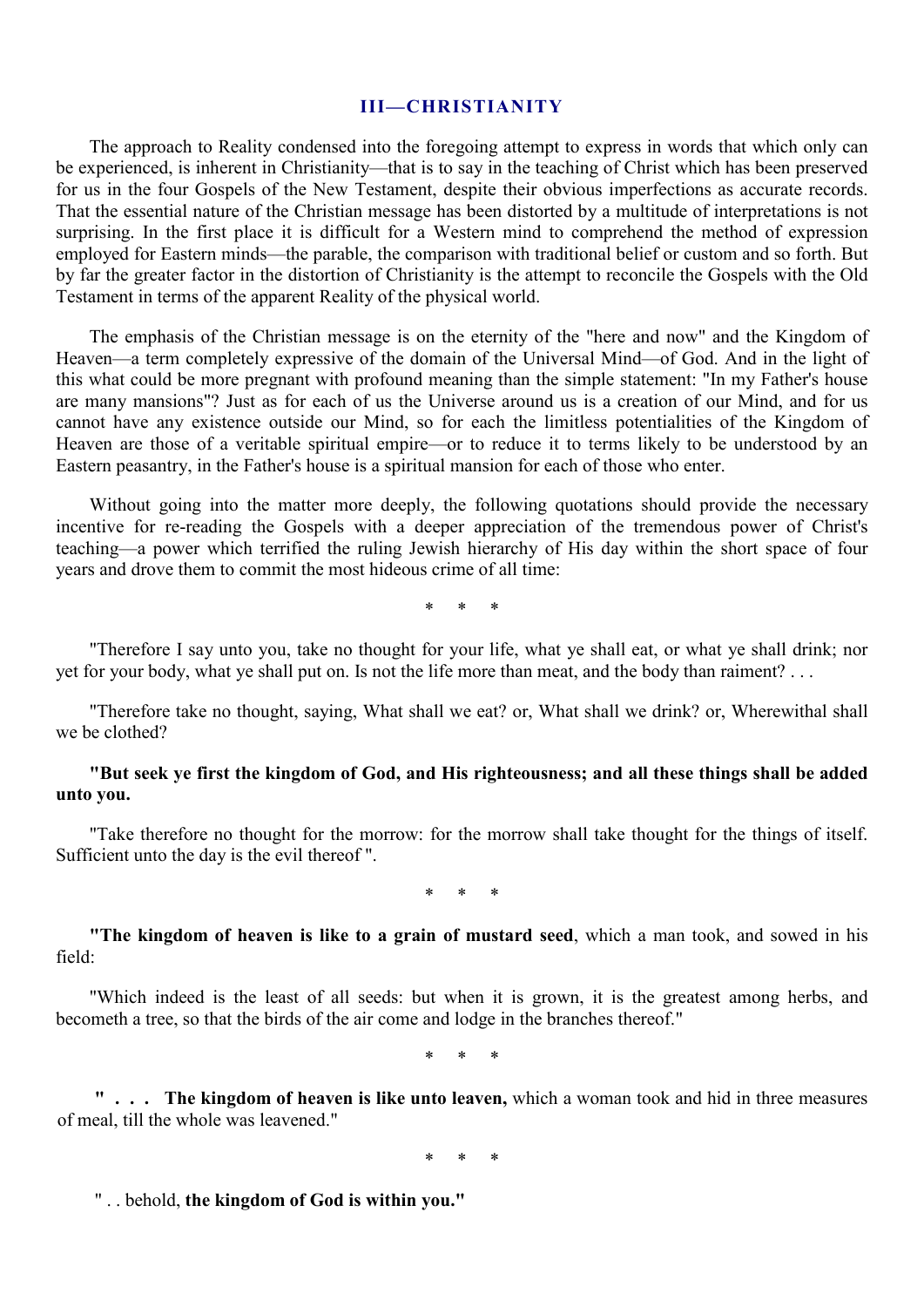#### **III—CHRISTIANITY**

The approach to Reality condensed into the foregoing attempt to express in words that which only can be experienced, is inherent in Christianity—that is to say in the teaching of Christ which has been preserved for us in the four Gospels of the New Testament, despite their obvious imperfections as accurate records. That the essential nature of the Christian message has been distorted by a multitude of interpretations is not surprising. In the first place it is difficult for a Western mind to comprehend the method of expression employed for Eastern minds—the parable, the comparison with traditional belief or custom and so forth. But by far the greater factor in the distortion of Christianity is the attempt to reconcile the Gospels with the Old Testament in terms of the apparent Reality of the physical world.

The emphasis of the Christian message is on the eternity of the "here and now" and the Kingdom of Heaven—a term completely expressive of the domain of the Universal Mind—of God. And in the light of this what could be more pregnant with profound meaning than the simple statement: "In my Father's house are many mansions"? Just as for each of us the Universe around us is a creation of our Mind, and for us cannot have any existence outside our Mind, so for each the limitless potentialities of the Kingdom of Heaven are those of a veritable spiritual empire—or to reduce it to terms likely to be understood by an Eastern peasantry, in the Father's house is a spiritual mansion for each of those who enter.

Without going into the matter more deeply, the following quotations should provide the necessary incentive for re-reading the Gospels with a deeper appreciation of the tremendous power of Christ's teaching—a power which terrified the ruling Jewish hierarchy of His day within the short space of four years and drove them to commit the most hideous crime of all time:

\* \* \*

"Therefore I say unto you, take no thought for your life, what ye shall eat, or what ye shall drink; nor yet for your body, what ye shall put on. Is not the life more than meat, and the body than raiment? . . .

"Therefore take no thought, saying, What shall we eat? or, What shall we drink? or, Wherewithal shall we be clothed?

# **"But seek ye first the kingdom of God, and His righteousness; and all these things shall be added unto you.**

"Take therefore no thought for the morrow: for the morrow shall take thought for the things of itself. Sufficient unto the day is the evil thereof ".

\* \* \*

**"The kingdom of heaven is like to a grain of mustard seed**, which a man took, and sowed in his field:

"Which indeed is the least of all seeds: but when it is grown, it is the greatest among herbs, and becometh a tree, so that the birds of the air come and lodge in the branches thereof."

\* \* \*

**" . . . The kingdom of heaven is like unto leaven,** which a woman took and hid in three measures of meal, till the whole was leavened."

\* \* \*

" . . behold, **the kingdom of God is within you."**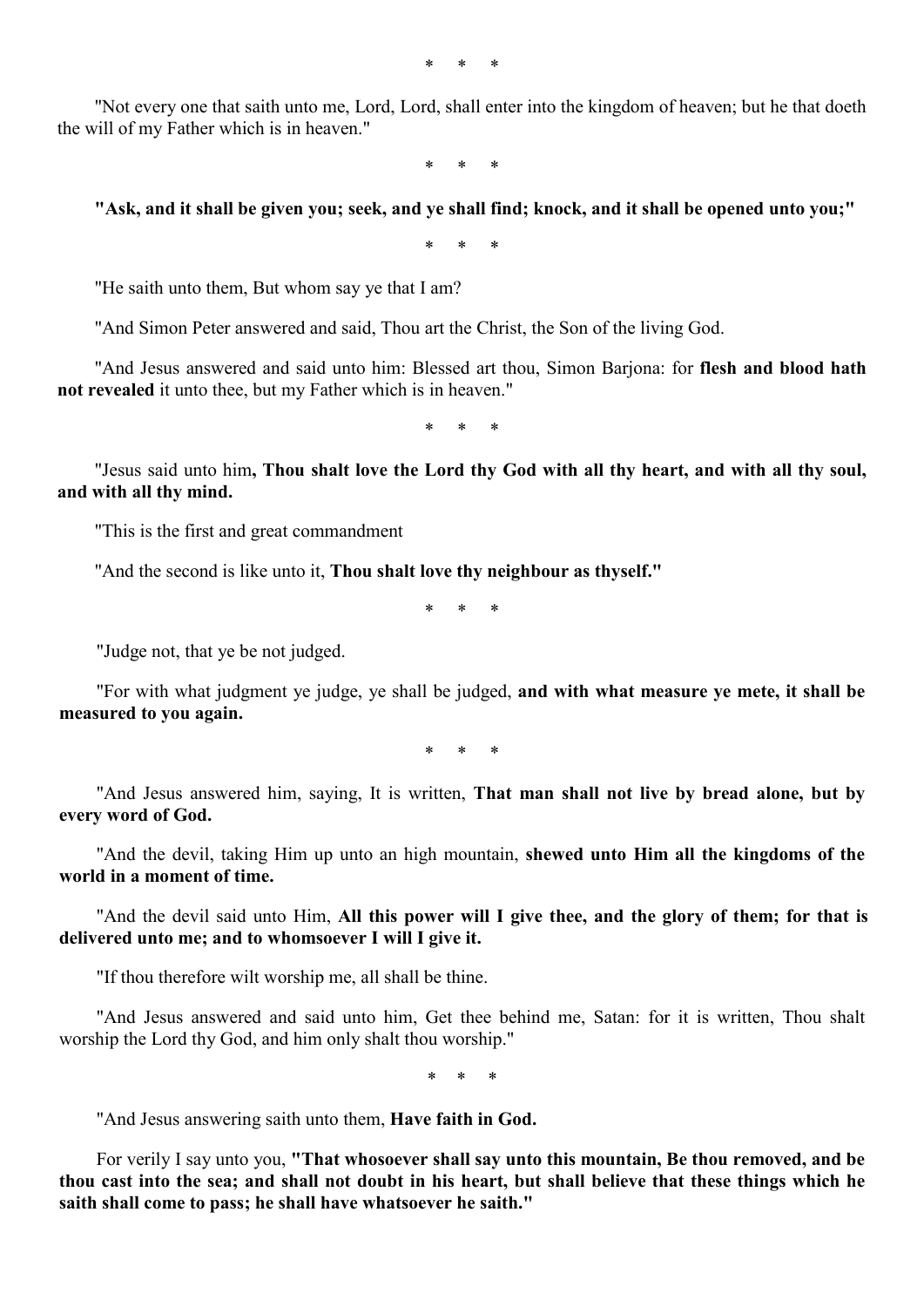\* \* \*

"Not every one that saith unto me, Lord, Lord, shall enter into the kingdom of heaven; but he that doeth the will of my Father which is in heaven."

\* \* \*

#### **"Ask, and it shall be given you; seek, and ye shall find; knock, and it shall be opened unto you;"**

\* \* \*

"He saith unto them, But whom say ye that I am?

"And Simon Peter answered and said, Thou art the Christ, the Son of the living God.

"And Jesus answered and said unto him: Blessed art thou, Simon Barjona: for **flesh and blood hath not revealed** it unto thee, but my Father which is in heaven."

\* \* \*

"Jesus said unto him**, Thou shalt love the Lord thy God with all thy heart, and with all thy soul, and with all thy mind.** 

"This is the first and great commandment

"And the second is like unto it, **Thou shalt love thy neighbour as thyself."** 

\* \* \*

"Judge not, that ye be not judged.

"For with what judgment ye judge, ye shall be judged, **and with what measure ye mete, it shall be measured to you again.** 

\* \* \*

"And Jesus answered him, saying, It is written, **That man shall not live by bread alone, but by every word of God.** 

"And the devil, taking Him up unto an high mountain, **shewed unto Him all the kingdoms of the world in a moment of time.** 

"And the devil said unto Him, **All this power will I give thee, and the glory of them; for that is delivered unto me; and to whomsoever I will I give it.**

"If thou therefore wilt worship me, all shall be thine.

"And Jesus answered and said unto him, Get thee behind me, Satan: for it is written, Thou shalt worship the Lord thy God, and him only shalt thou worship."

\* *\** \*

"And Jesus answering saith unto them, **Have faith in God.**

For verily I say unto you, **"That whosoever shall say unto this mountain, Be thou removed, and be thou cast into the sea; and shall not doubt in his heart, but shall believe that these things which he saith shall come to pass; he shall have whatsoever he saith."**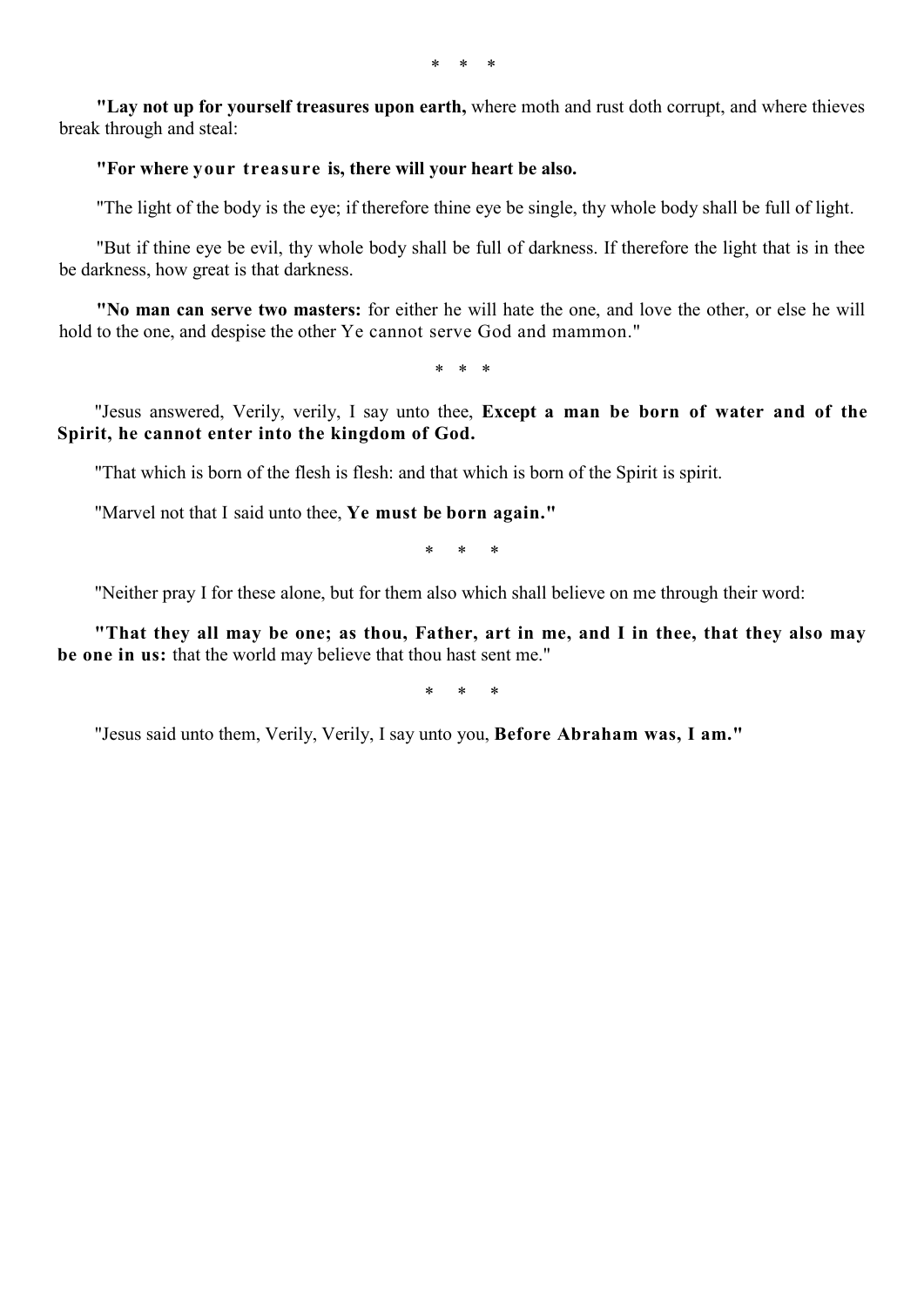*\* \* \** 

**"Lay not up for yourself treasures upon earth,** where moth and rust doth corrupt, and where thieves break through and steal:

# **"For where your treasure is, there will your heart be also.**

"The light of the body is the eye; if therefore thine eye be single, thy whole body shall be full of light.

"But if thine eye be evil, thy whole body shall be full of darkness. If therefore the light that is in thee be darkness, how great is that darkness.

**"No man can serve two masters:** for either he will hate the one, and love the other, or else he will hold to the one, and despise the other Ye cannot serve God and mammon."

\* \* \*

"Jesus answered, Verily, verily, I say unto thee, **Except a man be born of water and of the Spirit, he cannot enter into the kingdom of God.**

"That which is born of the flesh is flesh: and that which is born of the Spirit is spirit.

"Marvel not that I said unto thee, **Ye must be born again."** 

\* \* \*

"Neither pray I for these alone, but for them also which shall believe on me through their word:

**"That they all may be one; as thou, Father, art in me, and I in thee, that they also may be one in us:** that the world may believe that thou hast sent me."

\* \* \*

"Jesus said unto them, Verily, Verily, I say unto you, **Before Abraham was, I am."**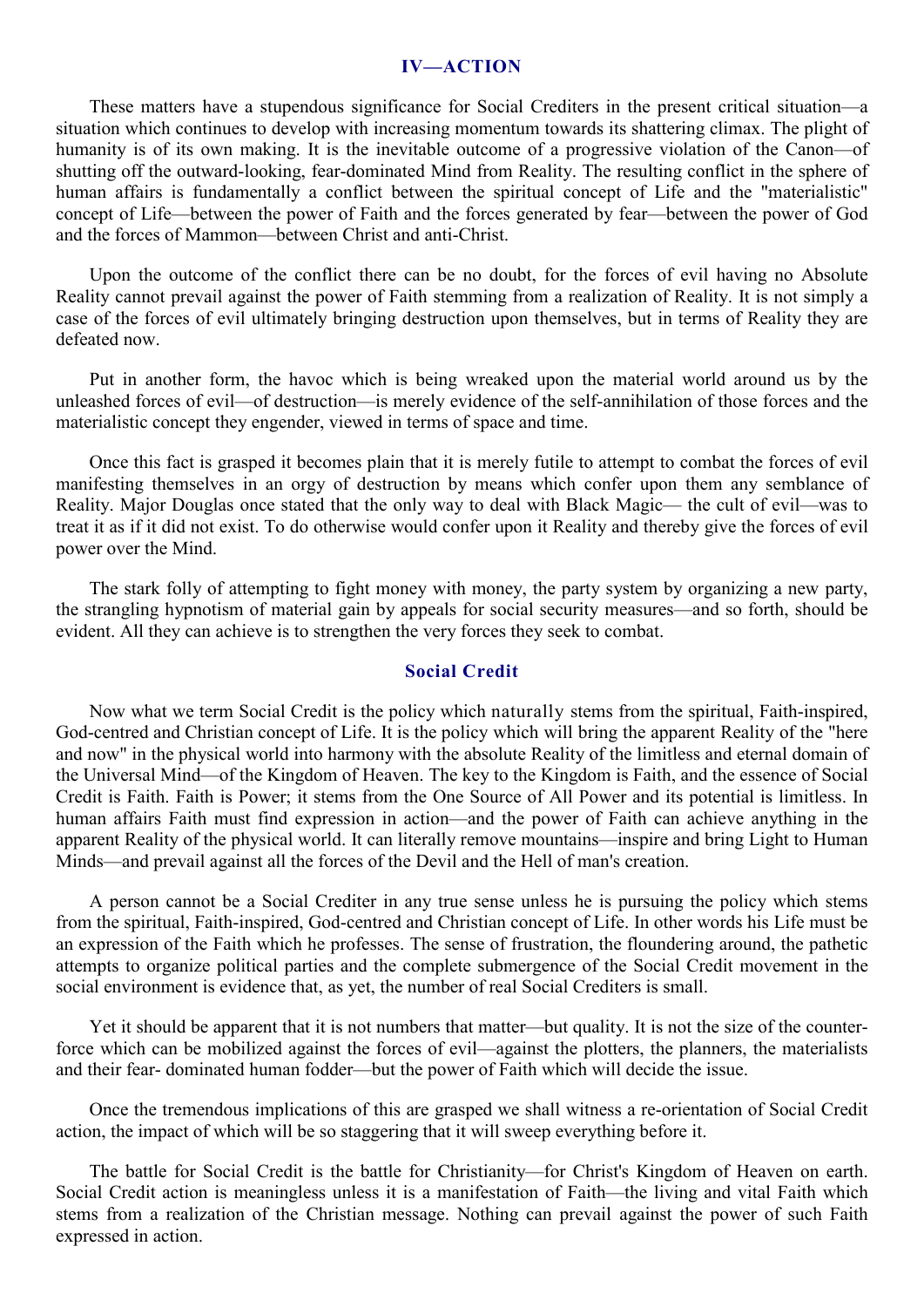#### **IV—ACTION**

These matters have a stupendous significance for Social Crediters in the present critical situation—a situation which continues to develop with increasing momentum towards its shattering climax. The plight of humanity is of its own making. It is the inevitable outcome of a progressive violation of the Canon—of shutting off the outward-looking, fear-dominated Mind from Reality. The resulting conflict in the sphere of human affairs is fundamentally a conflict between the spiritual concept of Life and the "materialistic" concept of Life—between the power of Faith and the forces generated by fear—between the power of God and the forces of Mammon—between Christ and anti-Christ.

Upon the outcome of the conflict there can be no doubt, for the forces of evil having no Absolute Reality cannot prevail against the power of Faith stemming from a realization of Reality. It is not simply a case of the forces of evil ultimately bringing destruction upon themselves, but in terms of Reality they are defeated now.

Put in another form, the havoc which is being wreaked upon the material world around us by the unleashed forces of evil—of destruction—is merely evidence of the self-annihilation of those forces and the materialistic concept they engender, viewed in terms of space and time.

Once this fact is grasped it becomes plain that it is merely futile to attempt to combat the forces of evil manifesting themselves in an orgy of destruction by means which confer upon them any semblance of Reality. Major Douglas once stated that the only way to deal with Black Magic— the cult of evil—was to treat it as if it did not exist. To do otherwise would confer upon it Reality and thereby give the forces of evil power over the Mind.

The stark folly of attempting to fight money with money, the party system by organizing a new party, the strangling hypnotism of material gain by appeals for social security measures—and so forth, should be evident. All they can achieve is to strengthen the very forces they seek to combat.

# **Social Credit**

Now what we term Social Credit is the policy which naturally stems from the spiritual, Faith-inspired, God-centred and Christian concept of Life. It is the policy which will bring the apparent Reality of the "here and now" in the physical world into harmony with the absolute Reality of the limitless and eternal domain of the Universal Mind—of the Kingdom of Heaven. The key to the Kingdom is Faith, and the essence of Social Credit is Faith. Faith is Power; it stems from the One Source of All Power and its potential is limitless. In human affairs Faith must find expression in action—and the power of Faith can achieve anything in the apparent Reality of the physical world. It can literally remove mountains—inspire and bring Light to Human Minds—and prevail against all the forces of the Devil and the Hell of man's creation.

A person cannot be a Social Crediter in any true sense unless he is pursuing the policy which stems from the spiritual, Faith-inspired, God-centred and Christian concept of Life. In other words his Life must be an expression of the Faith which he professes. The sense of frustration, the floundering around, the pathetic attempts to organize political parties and the complete submergence of the Social Credit movement in the social environment is evidence that, as yet, the number of real Social Crediters is small.

Yet it should be apparent that it is not numbers that matter—but quality. It is not the size of the counterforce which can be mobilized against the forces of evil—against the plotters, the planners, the materialists and their fear- dominated human fodder—but the power of Faith which will decide the issue.

Once the tremendous implications of this are grasped we shall witness a re-orientation of Social Credit action, the impact of which will be so staggering that it will sweep everything before it.

The battle for Social Credit is the battle for Christianity—for Christ's Kingdom of Heaven on earth. Social Credit action is meaningless unless it is a manifestation of Faith—the living and vital Faith which stems from a realization of the Christian message. Nothing can prevail against the power of such Faith expressed in action.